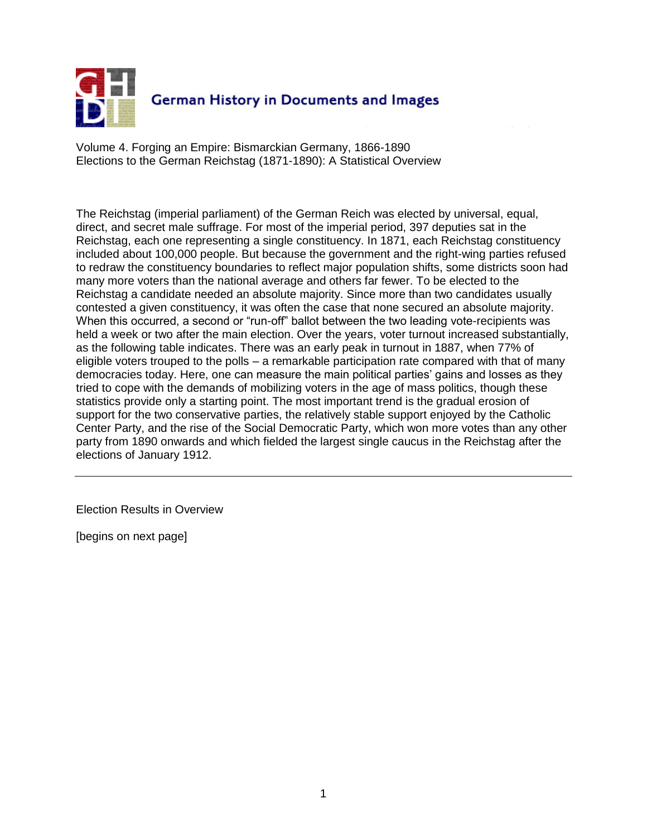

Volume 4. Forging an Empire: Bismarckian Germany, 1866-1890 Elections to the German Reichstag (1871-1890): A Statistical Overview

The Reichstag (imperial parliament) of the German Reich was elected by universal, equal, direct, and secret male suffrage. For most of the imperial period, 397 deputies sat in the Reichstag, each one representing a single constituency. In 1871, each Reichstag constituency included about 100,000 people. But because the government and the right-wing parties refused to redraw the constituency boundaries to reflect major population shifts, some districts soon had many more voters than the national average and others far fewer. To be elected to the Reichstag a candidate needed an absolute majority. Since more than two candidates usually contested a given constituency, it was often the case that none secured an absolute majority. When this occurred, a second or "run-off" ballot between the two leading vote-recipients was held a week or two after the main election. Over the years, voter turnout increased substantially, as the following table indicates. There was an early peak in turnout in 1887, when 77% of eligible voters trouped to the polls – a remarkable participation rate compared with that of many democracies today. Here, one can measure the main political parties' gains and losses as they tried to cope with the demands of mobilizing voters in the age of mass politics, though these statistics provide only a starting point. The most important trend is the gradual erosion of support for the two conservative parties, the relatively stable support enjoyed by the Catholic Center Party, and the rise of the Social Democratic Party, which won more votes than any other party from 1890 onwards and which fielded the largest single caucus in the Reichstag after the elections of January 1912.

Election Results in Overview

[begins on next page]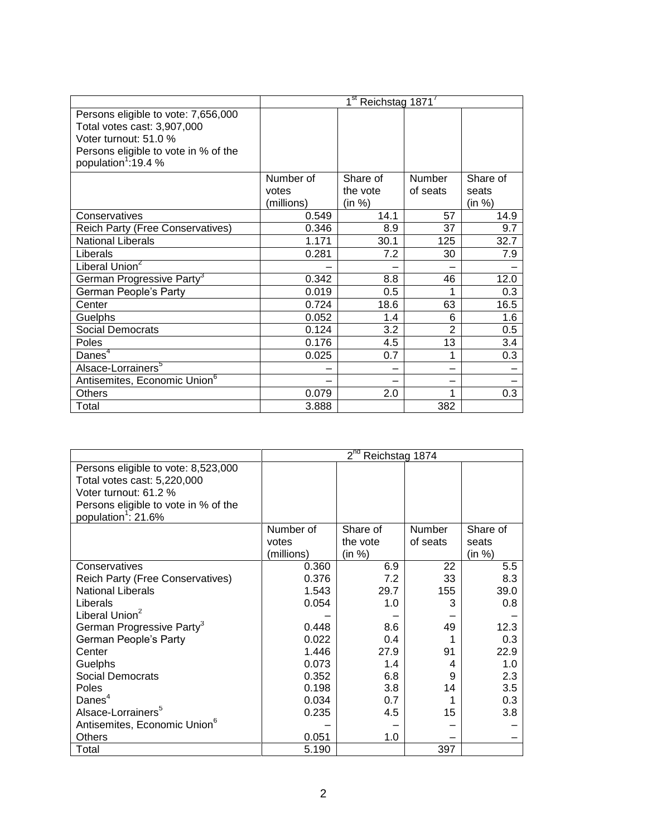|                                                                                                                                                                        |            | 1 <sup>st</sup> Reichstag 1871 <sup>7</sup> |               |          |
|------------------------------------------------------------------------------------------------------------------------------------------------------------------------|------------|---------------------------------------------|---------------|----------|
| Persons eligible to vote: 7,656,000<br>Total votes cast: 3,907,000<br>Voter turnout: 51.0 %<br>Persons eligible to vote in % of the<br>population <sup>1</sup> :19.4 % |            |                                             |               |          |
|                                                                                                                                                                        | Number of  | Share of                                    | <b>Number</b> | Share of |
|                                                                                                                                                                        | votes      | the vote                                    | of seats      | seats    |
|                                                                                                                                                                        | (millions) | (in %)                                      |               | (in %)   |
| Conservatives                                                                                                                                                          | 0.549      | 14.1                                        | 57            | 14.9     |
| Reich Party (Free Conservatives)                                                                                                                                       | 0.346      | 8.9                                         | 37            | 9.7      |
| <b>National Liberals</b>                                                                                                                                               | 1.171      | 30.1                                        | 125           | 32.7     |
| Liberals                                                                                                                                                               | 0.281      | 7.2                                         | 30            | 7.9      |
| Liberal Union <sup>2</sup>                                                                                                                                             |            |                                             |               |          |
| German Progressive Party <sup>3</sup>                                                                                                                                  | 0.342      | 8.8                                         | 46            | 12.0     |
| German People's Party                                                                                                                                                  | 0.019      | $0.5\,$                                     | 1             | 0.3      |
| Center                                                                                                                                                                 | 0.724      | 18.6                                        | 63            | 16.5     |
| Guelphs                                                                                                                                                                | 0.052      | 1.4                                         | 6             | 1.6      |
| Social Democrats                                                                                                                                                       | 0.124      | 3.2                                         | 2             | 0.5      |
| Poles                                                                                                                                                                  | 0.176      | 4.5                                         | 13            | 3.4      |
| Danes <sup>4</sup>                                                                                                                                                     | 0.025      | 0.7                                         | 1             | 0.3      |
| Alsace-Lorrainers <sup>5</sup>                                                                                                                                         |            |                                             |               |          |
| Antisemites, Economic Union <sup>6</sup>                                                                                                                               |            |                                             |               |          |
| Others                                                                                                                                                                 | 0.079      | 2.0                                         |               | 0.3      |
| Total                                                                                                                                                                  | 3.888      |                                             | 382           |          |

|                                          |            | $2^{nd}$<br>Reichstag 1874 |          |          |
|------------------------------------------|------------|----------------------------|----------|----------|
| Persons eligible to vote: 8,523,000      |            |                            |          |          |
| Total votes cast: 5,220,000              |            |                            |          |          |
| Voter turnout: 61.2 %                    |            |                            |          |          |
| Persons eligible to vote in % of the     |            |                            |          |          |
| population <sup>1</sup> : 21.6%          |            |                            |          |          |
|                                          | Number of  | Share of                   | Number   | Share of |
|                                          | votes      | the vote                   | of seats | seats    |
|                                          | (millions) | (in %)                     |          | (in %)   |
| Conservatives                            | 0.360      | 6.9                        | 22       | 5.5      |
| Reich Party (Free Conservatives)         | 0.376      | 7.2                        | 33       | 8.3      |
| <b>National Liberals</b>                 | 1.543      | 29.7                       | 155      | 39.0     |
| Liberals                                 | 0.054      | 1.0                        | 3        | 0.8      |
| Liberal Union <sup>2</sup>               |            |                            |          |          |
| German Progressive Party <sup>3</sup>    | 0.448      | 8.6                        | 49       | 12.3     |
| German People's Party                    | 0.022      | 0.4                        |          | 0.3      |
| Center                                   | 1.446      | 27.9                       | 91       | 22.9     |
| Guelphs                                  | 0.073      | 1.4                        | 4        | 1.0      |
| <b>Social Democrats</b>                  | 0.352      | 6.8                        | 9        | 2.3      |
| Poles                                    | 0.198      | 3.8                        | 14       | 3.5      |
| Danes <sup>4</sup>                       | 0.034      | 0.7                        |          | 0.3      |
| Alsace-Lorrainers <sup>5</sup>           | 0.235      | 4.5                        | 15       | 3.8      |
| Antisemites, Economic Union <sup>6</sup> |            |                            |          |          |
| Others                                   | 0.051      | 1.0                        |          |          |
| Total                                    | 5.190      |                            | 397      |          |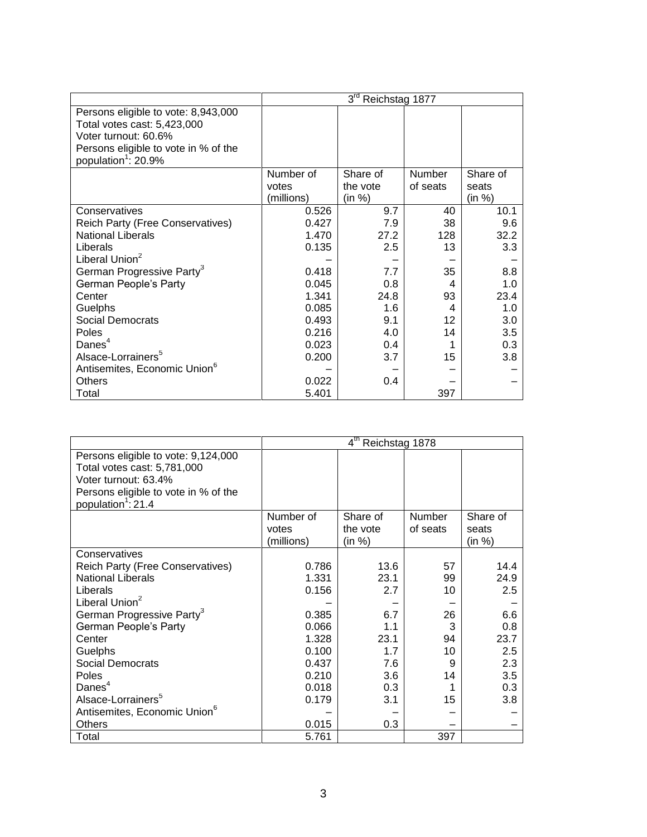|                                          |            | 3 <sup>rd</sup><br>Reichstag 1877 |               |          |
|------------------------------------------|------------|-----------------------------------|---------------|----------|
| Persons eligible to vote: 8,943,000      |            |                                   |               |          |
| Total votes cast: 5,423,000              |            |                                   |               |          |
| Voter turnout: 60.6%                     |            |                                   |               |          |
| Persons eligible to vote in % of the     |            |                                   |               |          |
| population <sup>1</sup> : 20.9%          |            |                                   |               |          |
|                                          | Number of  | Share of                          | <b>Number</b> | Share of |
|                                          | votes      | the vote                          | of seats      | seats    |
|                                          | (millions) | (in %)                            |               | (in %)   |
| Conservatives                            | 0.526      | 9.7                               | 40            | 10.1     |
| Reich Party (Free Conservatives)         | 0.427      | 7.9                               | 38            | 9.6      |
| <b>National Liberals</b>                 | 1.470      | 27.2                              | 128           | 32.2     |
| Liberals                                 | 0.135      | 2.5                               | 13            | 3.3      |
| Liberal Union <sup>2</sup>               |            |                                   |               |          |
| German Progressive Party <sup>3</sup>    | 0.418      | 7.7                               | 35            | 8.8      |
| German People's Party                    | 0.045      | 0.8                               | 4             | 1.0      |
| Center                                   | 1.341      | 24.8                              | 93            | 23.4     |
| Guelphs                                  | 0.085      | 1.6                               | 4             | 1.0      |
| Social Democrats                         | 0.493      | 9.1                               | 12            | 3.0      |
| Poles                                    | 0.216      | 4.0                               | 14            | 3.5      |
| Danes $4$                                | 0.023      | 0.4                               |               | 0.3      |
| Alsace-Lorrainers <sup>5</sup>           | 0.200      | 3.7                               | 15            | 3.8      |
| Antisemites, Economic Union <sup>6</sup> |            |                                   |               |          |
| <b>Others</b>                            | 0.022      | $0.4^{\circ}$                     |               |          |
| Total                                    | 5.401      |                                   | 397           |          |

|                                          |            | 4 <sup>th</sup> Reichstag 1878 |          |          |
|------------------------------------------|------------|--------------------------------|----------|----------|
| Persons eligible to vote: 9,124,000      |            |                                |          |          |
| Total votes cast: 5,781,000              |            |                                |          |          |
| Voter turnout: 63.4%                     |            |                                |          |          |
| Persons eligible to vote in % of the     |            |                                |          |          |
| population <sup>1</sup> : 21.4           |            |                                |          |          |
|                                          | Number of  | Share of                       | Number   | Share of |
|                                          | votes      | the vote                       | of seats | seats    |
|                                          | (millions) | (in %)                         |          | (in %)   |
| Conservatives                            |            |                                |          |          |
| Reich Party (Free Conservatives)         | 0.786      | 13.6                           | 57       | 14.4     |
| <b>National Liberals</b>                 | 1.331      | 23.1                           | 99       | 24.9     |
| Liberals                                 | 0.156      | 2.7                            | 10       | 2.5      |
| Liberal Union <sup>2</sup>               |            |                                |          |          |
| German Progressive Party <sup>3</sup>    | 0.385      | 6.7                            | 26       | 6.6      |
| German People's Party                    | 0.066      | 1.1                            | 3        | 0.8      |
| Center                                   | 1.328      | 23.1                           | 94       | 23.7     |
| Guelphs                                  | 0.100      | 1.7                            | 10       | 2.5      |
| <b>Social Democrats</b>                  | 0.437      | 7.6                            | 9        | 2.3      |
| Poles                                    | 0.210      | 3.6                            | 14       | 3.5      |
| Danes $4$                                | 0.018      | 0.3                            |          | 0.3      |
| Alsace-Lorrainers <sup>5</sup>           | 0.179      | 3.1                            | 15       | 3.8      |
| Antisemites, Economic Union <sup>6</sup> |            |                                |          |          |
| <b>Others</b>                            | 0.015      | 0.3                            |          |          |
| Total                                    | 5.761      |                                | 397      |          |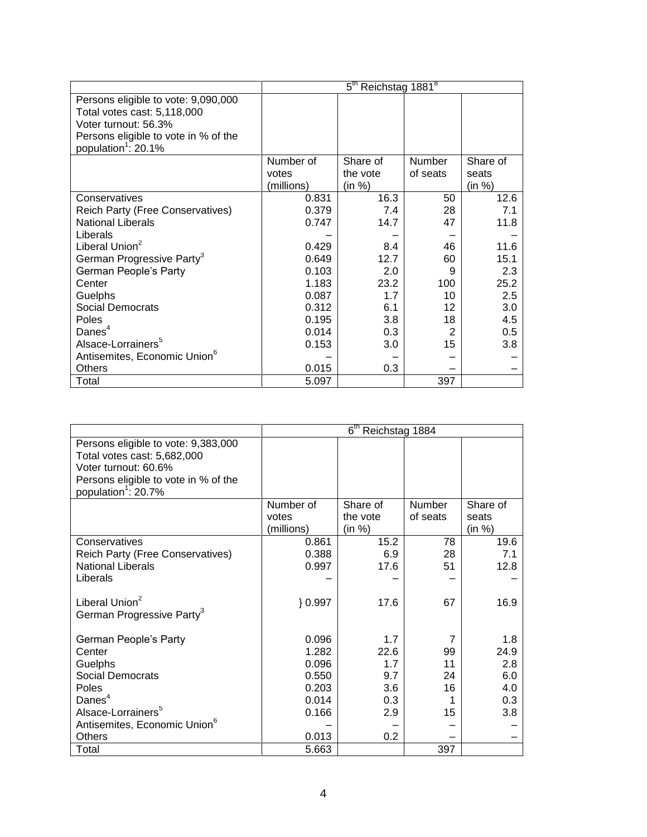|                                          | 5 <sup>th</sup> Reichstag 1881 <sup>8</sup> |          |                 |          |
|------------------------------------------|---------------------------------------------|----------|-----------------|----------|
| Persons eligible to vote: 9,090,000      |                                             |          |                 |          |
| Total votes cast: 5,118,000              |                                             |          |                 |          |
| Voter turnout: 56.3%                     |                                             |          |                 |          |
| Persons eligible to vote in % of the     |                                             |          |                 |          |
| population <sup>1</sup> : 20.1%          |                                             |          |                 |          |
|                                          | Number of                                   | Share of | Number          | Share of |
|                                          | votes                                       | the vote | of seats        | seats    |
|                                          | (millions)                                  | (in %)   |                 | (in %)   |
| Conservatives                            | 0.831                                       | 16.3     | 50              | 12.6     |
| Reich Party (Free Conservatives)         | 0.379                                       | 7.4      | 28              | 7.1      |
| <b>National Liberals</b>                 | 0.747                                       | 14.7     | 47              | 11.8     |
| Liberals                                 |                                             |          |                 |          |
| Liberal Union <sup>2</sup>               | 0.429                                       | 8.4      | 46              | 11.6     |
| German Progressive Party <sup>3</sup>    | 0.649                                       | 12.7     | 60              | 15.1     |
| German People's Party                    | 0.103                                       | 2.0      | 9               | 2.3      |
| Center                                   | 1.183                                       | 23.2     | 100             | 25.2     |
| Guelphs                                  | 0.087                                       | 1.7      | 10              | 2.5      |
| Social Democrats                         | 0.312                                       | 6.1      | 12 <sup>2</sup> | 3.0      |
| <b>Poles</b>                             | 0.195                                       | 3.8      | 18              | 4.5      |
| Danes $4$                                | 0.014                                       | 0.3      | 2               | 0.5      |
| Alsace-Lorrainers <sup>5</sup>           | 0.153                                       | 3.0      | 15              | 3.8      |
| Antisemites, Economic Union <sup>6</sup> |                                             |          |                 |          |
| Others                                   | 0.015                                       | 0.3      |                 |          |
| Total                                    | 5.097                                       |          | 397             |          |

|                                                                                                                                                                       | 6 <sup>th</sup> Reichstag 1884 |          |          |          |
|-----------------------------------------------------------------------------------------------------------------------------------------------------------------------|--------------------------------|----------|----------|----------|
| Persons eligible to vote: 9,383,000<br>Total votes cast: 5,682,000<br>Voter turnout: 60.6%<br>Persons eligible to vote in % of the<br>population <sup>1</sup> : 20.7% |                                |          |          |          |
|                                                                                                                                                                       | Number of                      | Share of | Number   | Share of |
|                                                                                                                                                                       | votes                          | the vote | of seats | seats    |
|                                                                                                                                                                       | (millions)                     | (in %)   |          | (in %)   |
| Conservatives                                                                                                                                                         | 0.861                          | 15.2     | 78       | 19.6     |
| Reich Party (Free Conservatives)                                                                                                                                      | 0.388                          | 6.9      | 28       | 7.1      |
| <b>National Liberals</b>                                                                                                                                              | 0.997                          | 17.6     | 51       | 12.8     |
| Liberals                                                                                                                                                              |                                |          |          |          |
| Liberal Union <sup>2</sup><br>German Progressive Party <sup>3</sup>                                                                                                   | $\} 0.997$                     | 17.6     | 67       | 16.9     |
| German People's Party                                                                                                                                                 | 0.096                          | 1.7      | 7        | 1.8      |
| Center                                                                                                                                                                | 1.282                          | 22.6     | 99       | 24.9     |
| Guelphs                                                                                                                                                               | 0.096                          | 1.7      | 11       | 2.8      |
| Social Democrats                                                                                                                                                      | 0.550                          | 9.7      | 24       | 6.0      |
| Poles                                                                                                                                                                 | 0.203                          | 3.6      | 16       | 4.0      |
| Danes <sup>4</sup>                                                                                                                                                    | 0.014                          | 0.3      |          | 0.3      |
| Alsace-Lorrainers <sup>5</sup>                                                                                                                                        | 0.166                          | 2.9      | 15       | 3.8      |
| Antisemites, Economic Union <sup>o</sup>                                                                                                                              |                                |          |          |          |
| <b>Others</b>                                                                                                                                                         | 0.013                          | 0.2      |          |          |
| Total                                                                                                                                                                 | 5.663                          |          | 397      |          |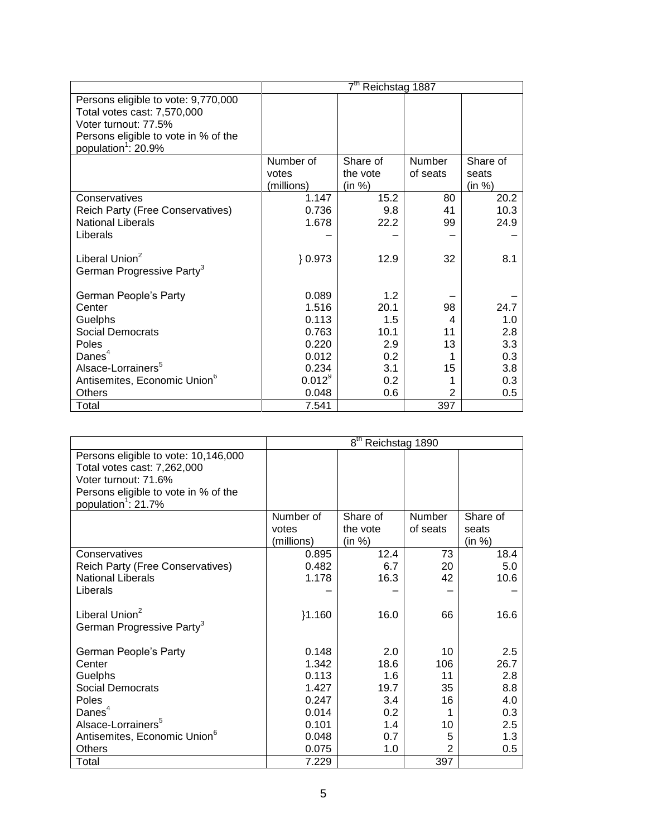|                                          | 7 <sup>th</sup> Reichstag 1887 |          |                |          |
|------------------------------------------|--------------------------------|----------|----------------|----------|
| Persons eligible to vote: 9,770,000      |                                |          |                |          |
| Total votes cast: 7,570,000              |                                |          |                |          |
| Voter turnout: 77.5%                     |                                |          |                |          |
| Persons eligible to vote in % of the     |                                |          |                |          |
| population <sup>1</sup> : 20.9%          |                                |          |                |          |
|                                          | Number of                      | Share of | Number         | Share of |
|                                          | votes                          | the vote | of seats       | seats    |
|                                          | (millions)                     | (in %)   |                | (in %)   |
| Conservatives                            | 1.147                          | 15.2     | 80             | 20.2     |
| Reich Party (Free Conservatives)         | 0.736                          | 9.8      | 41             | 10.3     |
| <b>National Liberals</b>                 | 1.678                          | 22.2     | 99             | 24.9     |
| Liberals                                 |                                |          |                |          |
|                                          |                                |          |                |          |
| Liberal Union <sup>2</sup>               | 0.973                          | 12.9     | 32             | 8.1      |
| German Progressive Party <sup>3</sup>    |                                |          |                |          |
|                                          |                                |          |                |          |
| German People's Party                    | 0.089                          | 1.2      |                |          |
| Center                                   | 1.516                          | 20.1     | 98             | 24.7     |
| Guelphs                                  | 0.113                          | 1.5      | 4              | 1.0      |
| Social Democrats                         | 0.763                          | 10.1     | 11             | 2.8      |
| Poles                                    | 0.220                          | 2.9      | 13             | 3.3      |
| Danes <sup>4</sup>                       | 0.012                          | 0.2      |                | 0.3      |
| Alsace-Lorrainers <sup>5</sup>           | 0.234                          | 3.1      | 15             | 3.8      |
| Antisemites, Economic Union <sup>6</sup> | $0.012^{9}$                    | 0.2      |                | 0.3      |
| <b>Others</b>                            | 0.048                          | 0.6      | $\overline{2}$ | 0.5      |
| Total                                    | 7.541                          |          | 397            |          |

|                                          |            | 8 <sup>th</sup><br>Reichstag 1890 |                |          |
|------------------------------------------|------------|-----------------------------------|----------------|----------|
| Persons eligible to vote: 10,146,000     |            |                                   |                |          |
| Total votes cast: 7,262,000              |            |                                   |                |          |
| Voter turnout: 71.6%                     |            |                                   |                |          |
| Persons eligible to vote in % of the     |            |                                   |                |          |
| population <sup>1</sup> : 21.7%          |            |                                   |                |          |
|                                          | Number of  | Share of                          | Number         | Share of |
|                                          | votes      | the vote                          | of seats       | seats    |
|                                          | (millions) | (in %)                            |                | (in %)   |
| Conservatives                            | 0.895      | 12.4                              | 73             | 18.4     |
| Reich Party (Free Conservatives)         | 0.482      | 6.7                               | 20             | 5.0      |
| <b>National Liberals</b>                 | 1.178      | 16.3                              | 42             | 10.6     |
| Liberals                                 |            |                                   |                |          |
| Liberal Union <sup>2</sup>               | }1.160     | 16.0                              | 66             | 16.6     |
| German Progressive Party <sup>3</sup>    |            |                                   |                |          |
| German People's Party                    | 0.148      | 2.0                               | 10             | 2.5      |
| Center                                   | 1.342      | 18.6                              | 106            | 26.7     |
| Guelphs                                  | 0.113      | 1.6                               | 11             | 2.8      |
| <b>Social Democrats</b>                  | 1.427      | 19.7                              | 35             | 8.8      |
| <b>Poles</b>                             | 0.247      | 3.4                               | 16             | 4.0      |
| Danes <sup>4</sup>                       | 0.014      | 0.2                               | 1              | 0.3      |
| Alsace-Lorrainers <sup>5</sup>           | 0.101      | 1.4                               | 10             | 2.5      |
| Antisemites, Economic Union <sup>6</sup> | 0.048      | 0.7                               | 5              | 1.3      |
| <b>Others</b>                            | 0.075      | 1.0                               | $\overline{2}$ | 0.5      |
| Total                                    | 7.229      |                                   | 397            |          |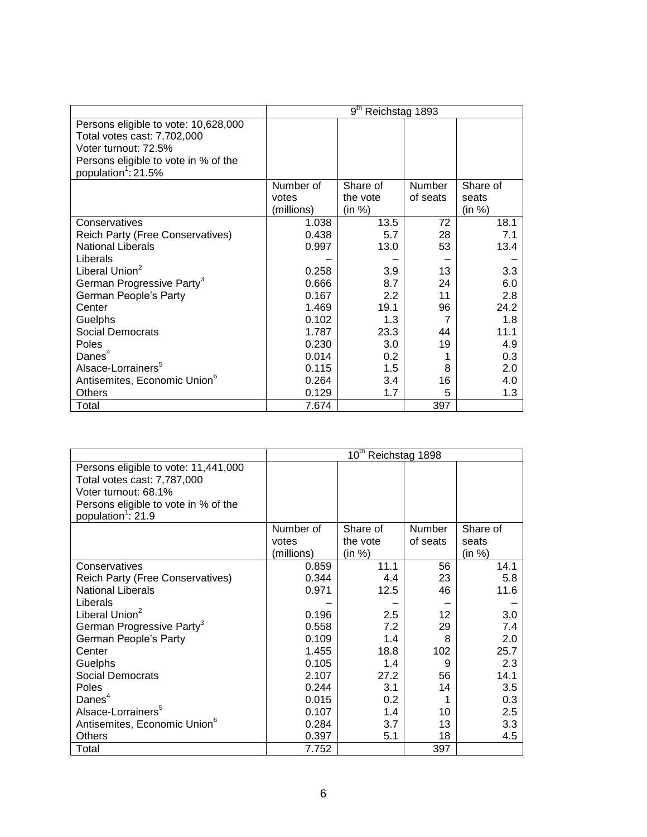|                                          |            | 9 <sup>th</sup><br>Reichstag 1893 |          |          |
|------------------------------------------|------------|-----------------------------------|----------|----------|
| Persons eligible to vote: 10,628,000     |            |                                   |          |          |
| Total votes cast: 7,702,000              |            |                                   |          |          |
| Voter turnout: 72.5%                     |            |                                   |          |          |
| Persons eligible to vote in % of the     |            |                                   |          |          |
| population <sup>1</sup> : 21.5%          |            |                                   |          |          |
|                                          | Number of  | Share of                          | Number   | Share of |
|                                          | votes      | the vote                          | of seats | seats    |
|                                          | (millions) | (in %)                            |          | (in %)   |
| Conservatives                            | 1.038      | 13.5                              | 72       | 18.1     |
| Reich Party (Free Conservatives)         | 0.438      | 5.7                               | 28       | 7.1      |
| <b>National Liberals</b>                 | 0.997      | 13.0                              | 53       | 13.4     |
| Liberals                                 |            |                                   |          |          |
| Liberal Union <sup>2</sup>               | 0.258      | 3.9                               | 13       | 3.3      |
| German Progressive Party <sup>3</sup>    | 0.666      | 8.7                               | 24       | 6.0      |
| German People's Party                    | 0.167      | 2.2                               | 11       | 2.8      |
| Center                                   | 1.469      | 19.1                              | 96       | 24.2     |
| Guelphs                                  | 0.102      | 1.3                               | 7        | 1.8      |
| Social Democrats                         | 1.787      | 23.3                              | 44       | 11.1     |
| Poles                                    | 0.230      | 3.0                               | 19       | 4.9      |
| Danes $4$                                | 0.014      | 0.2                               |          | 0.3      |
| Alsace-Lorrainers <sup>5</sup>           | 0.115      | 1.5                               | 8        | 2.0      |
| Antisemites, Economic Union <sup>6</sup> | 0.264      | 3.4                               | 16       | 4.0      |
| Others                                   | 0.129      | 1.7                               | 5        | 1.3      |
| Total                                    | 7.674      |                                   | 397      |          |

|                                          |            | 10 <sup>th</sup> Reichstag 1898 |          |          |
|------------------------------------------|------------|---------------------------------|----------|----------|
| Persons eligible to vote: 11,441,000     |            |                                 |          |          |
| Total votes cast: 7,787,000              |            |                                 |          |          |
| Voter turnout: 68.1%                     |            |                                 |          |          |
| Persons eligible to vote in % of the     |            |                                 |          |          |
| population <sup>1</sup> : 21.9           |            |                                 |          |          |
|                                          | Number of  | Share of                        | Number   | Share of |
|                                          | votes      | the vote                        | of seats | seats    |
|                                          | (millions) | (in %)                          |          | (in %)   |
| Conservatives                            | 0.859      | 11.1                            | 56       | 14.1     |
| <b>Reich Party (Free Conservatives)</b>  | 0.344      | 4.4                             | 23       | 5.8      |
| <b>National Liberals</b>                 | 0.971      | 12.5                            | 46       | 11.6     |
| Liberals                                 |            |                                 |          |          |
| Liberal Union <sup>2</sup>               | 0.196      | 2.5                             | 12       | 3.0      |
| German Progressive Party <sup>3</sup>    | 0.558      | 7.2                             | 29       | 7.4      |
| German People's Party                    | 0.109      | 1.4                             | 8        | 2.0      |
| Center                                   | 1.455      | 18.8                            | 102      | 25.7     |
| Guelphs                                  | 0.105      | 1.4                             | 9        | 2.3      |
| <b>Social Democrats</b>                  | 2.107      | 27.2                            | 56       | 14.1     |
| Poles                                    | 0.244      | 3.1                             | 14       | 3.5      |
| Danes $4$                                | 0.015      | 0.2                             | 1        | 0.3      |
| Alsace-Lorrainers <sup>5</sup>           | 0.107      | 1.4                             | 10       | 2.5      |
| Antisemites, Economic Union <sup>6</sup> | 0.284      | 3.7                             | 13       | 3.3      |
| <b>Others</b>                            | 0.397      | 5.1                             | 18       | 4.5      |
| Total                                    | 7.752      |                                 | 397      |          |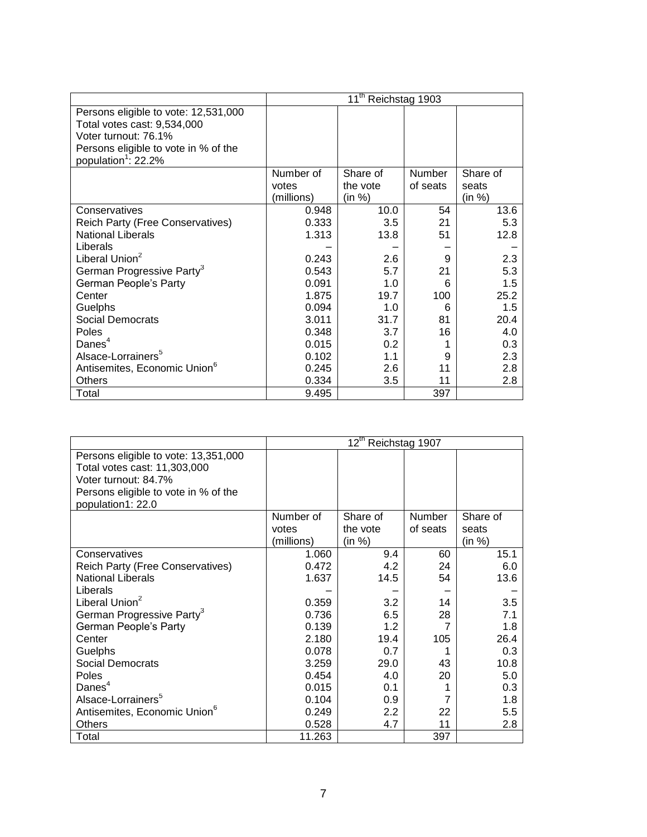|                                          |            | 11 <sup>th</sup> Reichstag 1903 |          |          |
|------------------------------------------|------------|---------------------------------|----------|----------|
| Persons eligible to vote: 12,531,000     |            |                                 |          |          |
| Total votes cast: 9,534,000              |            |                                 |          |          |
| Voter turnout: 76.1%                     |            |                                 |          |          |
| Persons eligible to vote in % of the     |            |                                 |          |          |
| population <sup>1</sup> : 22.2%          |            |                                 |          |          |
|                                          | Number of  | Share of                        | Number   | Share of |
|                                          | votes      | the vote                        | of seats | seats    |
|                                          | (millions) | (in %)                          |          | (in %)   |
| Conservatives                            | 0.948      | 10.0                            | 54       | 13.6     |
| Reich Party (Free Conservatives)         | 0.333      | 3.5                             | 21       | 5.3      |
| <b>National Liberals</b>                 | 1.313      | 13.8                            | 51       | 12.8     |
| Liberals                                 |            |                                 |          |          |
| Liberal Union <sup>2</sup>               | 0.243      | 2.6                             | 9        | 2.3      |
| German Progressive Party <sup>3</sup>    | 0.543      | 5.7                             | 21       | 5.3      |
| German People's Party                    | 0.091      | 1.0                             | 6        | 1.5      |
| Center                                   | 1.875      | 19.7                            | 100      | 25.2     |
| Guelphs                                  | 0.094      | 1.0                             | 6        | 1.5      |
| Social Democrats                         | 3.011      | 31.7                            | 81       | 20.4     |
| Poles                                    | 0.348      | 3.7                             | 16       | 4.0      |
| Danes $4$                                | 0.015      | 0.2 <sub>0</sub>                |          | 0.3      |
| Alsace-Lorrainers <sup>5</sup>           | 0.102      | 1.1                             | 9        | 2.3      |
| Antisemites, Economic Union <sup>6</sup> | 0.245      | 2.6                             | 11       | 2.8      |
| Others                                   | 0.334      | 3.5                             | 11       | 2.8      |
| Total                                    | 9.495      |                                 | 397      |          |

|                                          |            | $12^{\text{th}}$ | Reichstag 1907 |          |
|------------------------------------------|------------|------------------|----------------|----------|
| Persons eligible to vote: 13,351,000     |            |                  |                |          |
| Total votes cast: 11,303,000             |            |                  |                |          |
| Voter turnout: 84.7%                     |            |                  |                |          |
| Persons eligible to vote in % of the     |            |                  |                |          |
| population1: 22.0                        |            |                  |                |          |
|                                          | Number of  | Share of         | Number         | Share of |
|                                          | votes      | the vote         | of seats       | seats    |
|                                          | (millions) | (in %)           |                | (in %)   |
| Conservatives                            | 1.060      | 9.4              | 60             | 15.1     |
| Reich Party (Free Conservatives)         | 0.472      | 4.2              | 24             | 6.0      |
| <b>National Liberals</b>                 | 1.637      | 14.5             | 54             | 13.6     |
| Liberals                                 |            |                  |                |          |
| Liberal Union <sup>2</sup>               | 0.359      | 3.2              | 14             | 3.5      |
| German Progressive Party <sup>3</sup>    | 0.736      | 6.5              | 28             | 7.1      |
| German People's Party                    | 0.139      | 1.2              | 7              | 1.8      |
| Center                                   | 2.180      | 19.4             | 105            | 26.4     |
| Guelphs                                  | 0.078      | 0.7              |                | 0.3      |
| <b>Social Democrats</b>                  | 3.259      | 29.0             | 43             | 10.8     |
| Poles                                    | 0.454      | 4.0              | 20             | 5.0      |
| Danes $4$                                | 0.015      | 0.1              |                | 0.3      |
| Alsace-Lorrainers <sup>5</sup>           | 0.104      | 0.9              | 7              | 1.8      |
| Antisemites, Economic Union <sup>6</sup> | 0.249      | 2.2              | 22             | 5.5      |
| <b>Others</b>                            | 0.528      | 4.7              | 11             | 2.8      |
| Total                                    | 11.263     |                  | 397            |          |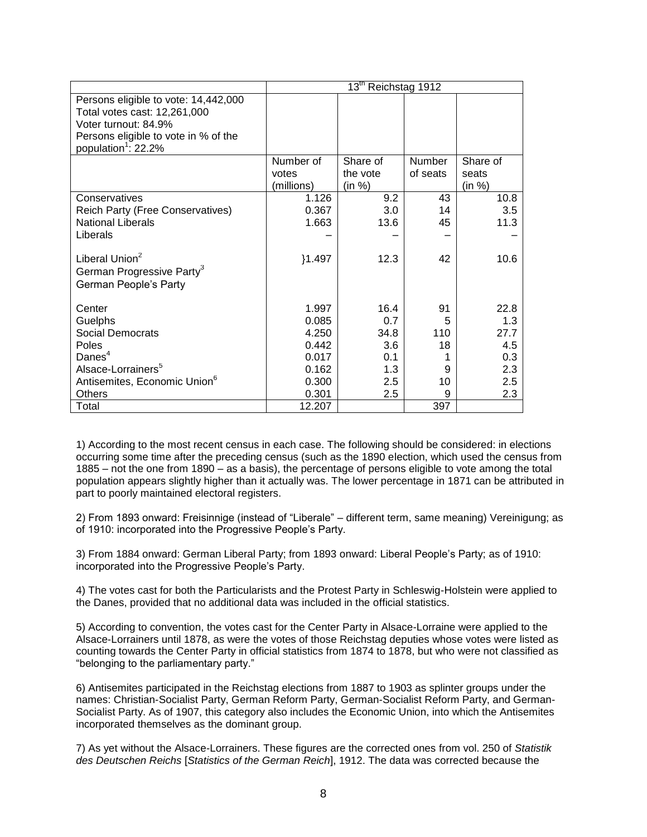|                                          | 13 <sup>th</sup> Reichstag 1912 |          |               |          |
|------------------------------------------|---------------------------------|----------|---------------|----------|
| Persons eligible to vote: 14,442,000     |                                 |          |               |          |
| Total votes cast: 12,261,000             |                                 |          |               |          |
| Voter turnout: 84.9%                     |                                 |          |               |          |
| Persons eligible to vote in % of the     |                                 |          |               |          |
| population <sup>1</sup> : 22.2%          |                                 |          |               |          |
|                                          | Number of                       | Share of | <b>Number</b> | Share of |
|                                          | votes                           | the vote | of seats      | seats    |
|                                          | (millions)                      | (in %)   |               | (in %)   |
| Conservatives                            | 1.126                           | 9.2      | 43            | 10.8     |
| Reich Party (Free Conservatives)         | 0.367                           | 3.0      | 14            | 3.5      |
| <b>National Liberals</b>                 | 1.663                           | 13.6     | 45            | 11.3     |
| Liberals                                 |                                 |          |               |          |
|                                          |                                 |          |               |          |
| Liberal Union <sup>2</sup>               | ${1.497}$                       | 12.3     | 42            | 10.6     |
| German Progressive Party <sup>3</sup>    |                                 |          |               |          |
| German People's Party                    |                                 |          |               |          |
|                                          |                                 |          |               |          |
| Center                                   | 1.997                           | 16.4     | 91            | 22.8     |
| Guelphs                                  | 0.085                           | 0.7      | 5             | 1.3      |
| Social Democrats                         | 4.250                           | 34.8     | 110           | 27.7     |
| Poles                                    | 0.442                           | 3.6      | 18            | 4.5      |
| Danes $4$                                | 0.017                           | 0.1      |               | 0.3      |
| Alsace-Lorrainers <sup>5</sup>           | 0.162                           | 1.3      | 9             | 2.3      |
| Antisemites, Economic Union <sup>6</sup> | 0.300                           | 2.5      | 10            | 2.5      |
| <b>Others</b>                            | 0.301                           | 2.5      | 9             | 2.3      |
| Total                                    | 12.207                          |          | 397           |          |

1) According to the most recent census in each case. The following should be considered: in elections occurring some time after the preceding census (such as the 1890 election, which used the census from 1885 – not the one from 1890 – as a basis), the percentage of persons eligible to vote among the total population appears slightly higher than it actually was. The lower percentage in 1871 can be attributed in part to poorly maintained electoral registers.

2) From 1893 onward: Freisinnige (instead of "Liberale" – different term, same meaning) Vereinigung; as of 1910: incorporated into the Progressive People's Party.

3) From 1884 onward: German Liberal Party; from 1893 onward: Liberal People's Party; as of 1910: incorporated into the Progressive People's Party.

4) The votes cast for both the Particularists and the Protest Party in Schleswig-Holstein were applied to the Danes, provided that no additional data was included in the official statistics.

5) According to convention, the votes cast for the Center Party in Alsace-Lorraine were applied to the Alsace-Lorrainers until 1878, as were the votes of those Reichstag deputies whose votes were listed as counting towards the Center Party in official statistics from 1874 to 1878, but who were not classified as "belonging to the parliamentary party."

6) Antisemites participated in the Reichstag elections from 1887 to 1903 as splinter groups under the names: Christian-Socialist Party, German Reform Party, German-Socialist Reform Party, and German-Socialist Party. As of 1907, this category also includes the Economic Union, into which the Antisemites incorporated themselves as the dominant group.

7) As yet without the Alsace-Lorrainers. These figures are the corrected ones from vol. 250 of *Statistik des Deutschen Reichs* [*Statistics of the German Reich*], 1912. The data was corrected because the